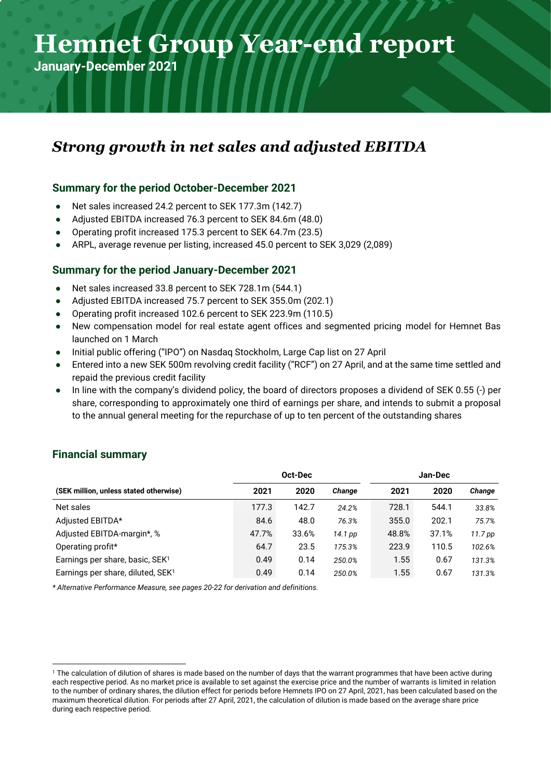# **Hemnet Year-end Hemnet Group Year-end report**

**January-December 2021**

### *Strong growth in net sales and adjusted EBITDA*

### **Summary for the period October-December 2021**

Net sales increased 24.2 percent to SEK 177.3m (142.7)

**report 2019** 

- Adjusted EBITDA increased 76.3 percent to SEK 84.6m (48.0)
- Operating profit increased 175.3 percent to SEK 64.7m (23.5)
- ARPL, average revenue per listing, increased 45.0 percent to SEK 3,029 (2,089)

### **Summary for the period January-December 2021**

- Net sales increased 33.8 percent to SEK 728.1m (544.1)
- Adjusted EBITDA increased 75.7 percent to SEK 355.0m (202.1)
- Operating profit increased 102.6 percent to SEK 223.9m (110.5)
- New compensation model for real estate agent offices and segmented pricing model for Hemnet Bas launched on 1 March
- Initial public offering ("IPO") on Nasdag Stockholm, Large Cap list on 27 April
- Entered into a new SEK 500m revolving credit facility ("RCF") on 27 April, and at the same time settled and repaid the previous credit facility
- In line with the company's dividend policy, the board of directors proposes a dividend of SEK 0.55 (-) per share, corresponding to approximately one third of earnings per share, and intends to submit a proposal to the annual general meeting for the repurchase of up to ten percent of the outstanding shares

|                                               | Oct-Dec |       |         | Jan-Dec |       |         |
|-----------------------------------------------|---------|-------|---------|---------|-------|---------|
| (SEK million, unless stated otherwise)        | 2021    | 2020  | Change  | 2021    | 2020  | Change  |
| Net sales                                     | 177.3   | 142.7 | 24.2%   | 728.1   | 544.1 | 33.8%   |
| Adjusted EBITDA*                              | 84.6    | 48.0  | 76.3%   | 355.0   | 202.1 | 75.7%   |
| Adjusted EBITDA-margin*, %                    | 47.7%   | 33.6% | 14.1 pp | 48.8%   | 37.1% | 11.7 pp |
| Operating profit*                             | 64.7    | 23.5  | 175.3%  | 223.9   | 110.5 | 102.6%  |
| Earnings per share, basic, SEK <sup>1</sup>   | 0.49    | 0.14  | 250.0%  | 1.55    | 0.67  | 131.3%  |
| Earnings per share, diluted, SEK <sup>1</sup> | 0.49    | 0.14  | 250.0%  | 1.55    | 0.67  | 131.3%  |

### **Financial summary**

*\* Alternative Performance Measure, see pages 20-22 for derivation and definitions.*

<sup>&</sup>lt;sup>1</sup> The calculation of dilution of shares is made based on the number of days that the warrant programmes that have been active during each respective period. As no market price is available to set against the exercise price and the number of warrants is limited in relation to the number of ordinary shares, the dilution effect for periods before Hemnets IPO on 27 April, 2021, has been calculated based on the maximum theoretical dilution. For periods after 27 April, 2021, the calculation of dilution is made based on the average share price during each respective period.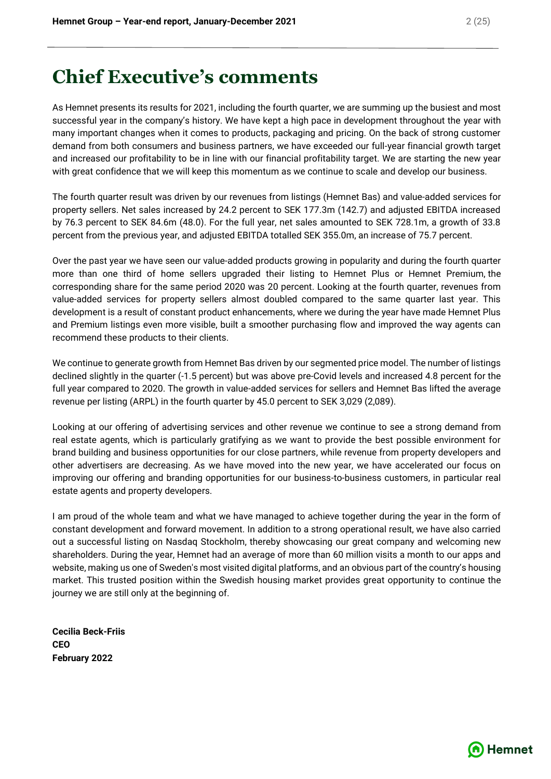# **Chief Executive's comments**

As Hemnet presents its results for 2021, including the fourth quarter, we are summing up the busiest and most successful year in the company's history. We have kept a high pace in development throughout the year with many important changes when it comes to products, packaging and pricing. On the back of strong customer demand from both consumers and business partners, we have exceeded our full-year financial growth target and increased our profitability to be in line with our financial profitability target. We are starting the new year with great confidence that we will keep this momentum as we continue to scale and develop our business.

The fourth quarter result was driven by our revenues from listings (Hemnet Bas) and value-added services for property sellers. Net sales increased by 24.2 percent to SEK 177.3m (142.7) and adjusted EBITDA increased by 76.3 percent to SEK 84.6m (48.0). For the full year, net sales amounted to SEK 728.1m, a growth of 33.8 percent from the previous year, and adjusted EBITDA totalled SEK 355.0m, an increase of 75.7 percent.

Over the past year we have seen our value-added products growing in popularity and during the fourth quarter more than one third of home sellers upgraded their listing to Hemnet Plus or Hemnet Premium, the corresponding share for the same period 2020 was 20 percent. Looking at the fourth quarter, revenues from value-added services for property sellers almost doubled compared to the same quarter last year. This development is a result of constant product enhancements, where we during the year have made Hemnet Plus and Premium listings even more visible, built a smoother purchasing flow and improved the way agents can recommend these products to their clients.

We continue to generate growth from Hemnet Bas driven by our segmented price model. The number of listings declined slightly in the quarter (-1.5 percent) but was above pre-Covid levels and increased 4.8 percent for the full year compared to 2020. The growth in value-added services for sellers and Hemnet Bas lifted the average revenue per listing (ARPL) in the fourth quarter by 45.0 percent to SEK 3,029 (2,089).

Looking at our offering of advertising services and other revenue we continue to see a strong demand from real estate agents, which is particularly gratifying as we want to provide the best possible environment for brand building and business opportunities for our close partners, while revenue from property developers and other advertisers are decreasing. As we have moved into the new year, we have accelerated our focus on improving our offering and branding opportunities for our business-to-business customers, in particular real estate agents and property developers.

I am proud of the whole team and what we have managed to achieve together during the year in the form of constant development and forward movement. In addition to a strong operational result, we have also carried out a successful listing on Nasdaq Stockholm, thereby showcasing our great company and welcoming new shareholders. During the year, Hemnet had an average of more than 60 million visits a month to our apps and website, making us one of Sweden's most visited digital platforms, and an obvious part of the country's housing market. This trusted position within the Swedish housing market provides great opportunity to continue the journey we are still only at the beginning of.

**Cecilia Beck-Friis CEO February 2022**

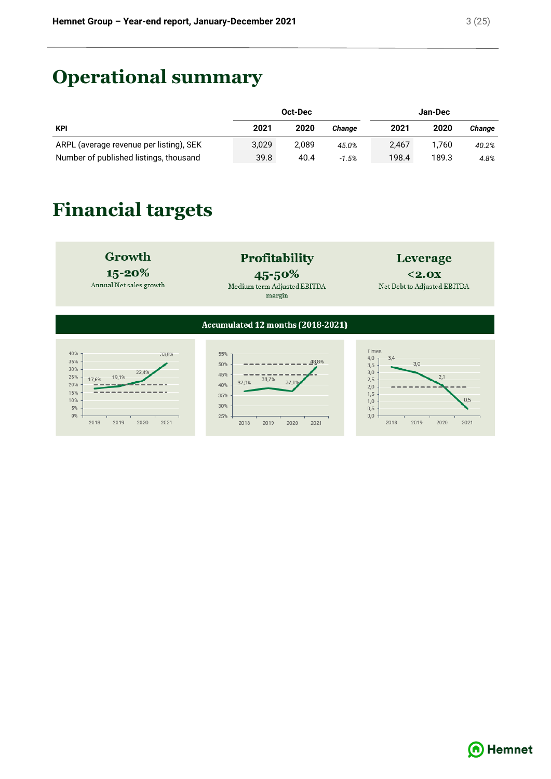# **Operational summary**

|                                         | Oct-Dec |       |         | Jan-Dec |       |        |
|-----------------------------------------|---------|-------|---------|---------|-------|--------|
| <b>KPI</b>                              | 2021    | 2020  | Change  | 2021    | 2020  | Change |
| ARPL (average revenue per listing), SEK | 3.029   | 2.089 | 45.0%   | 2.467   | 1.760 | 40.2%  |
| Number of published listings, thousand  | 39.8    | 40.4  | $-1.5%$ | 198.4   | 189.3 | 4.8%   |

# **Financial targets**



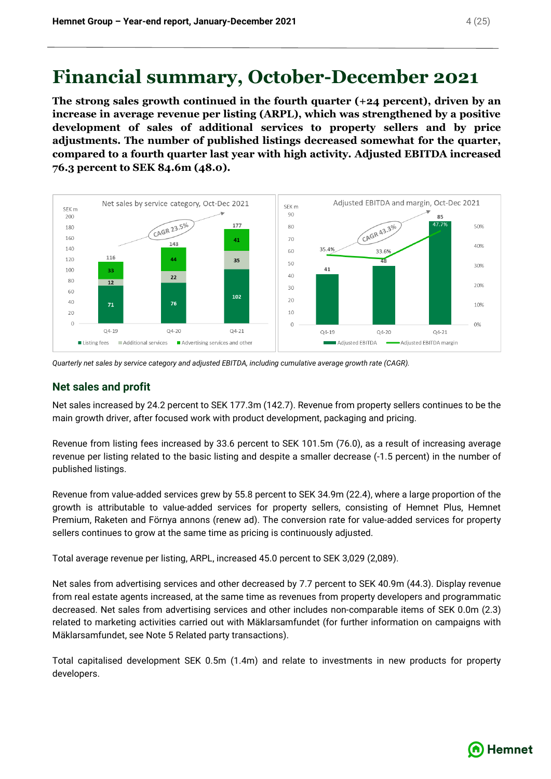## **Financial summary, October-December 2021**

**The strong sales growth continued in the fourth quarter (+24 percent), driven by an increase in average revenue per listing (ARPL), which was strengthened by a positive development of sales of additional services to property sellers and by price adjustments. The number of published listings decreased somewhat for the quarter, compared to a fourth quarter last year with high activity. Adjusted EBITDA increased 76.3 percent to SEK 84.6m (48.0).**



*Quarterly net sales by service category and adjusted EBITDA, including cumulative average growth rate (CAGR).*

### **Net sales and profit**

Net sales increased by 24.2 percent to SEK 177.3m (142.7). Revenue from property sellers continues to be the main growth driver, after focused work with product development, packaging and pricing.

Revenue from listing fees increased by 33.6 percent to SEK 101.5m (76.0), as a result of increasing average revenue per listing related to the basic listing and despite a smaller decrease (-1.5 percent) in the number of published listings.

Revenue from value-added services grew by 55.8 percent to SEK 34.9m (22.4), where a large proportion of the growth is attributable to value-added services for property sellers, consisting of Hemnet Plus, Hemnet Premium, Raketen and Förnya annons (renew ad). The conversion rate for value-added services for property sellers continues to grow at the same time as pricing is continuously adjusted.

Total average revenue per listing, ARPL, increased 45.0 percent to SEK 3,029 (2,089).

Net sales from advertising services and other decreased by 7.7 percent to SEK 40.9m (44.3). Display revenue from real estate agents increased, at the same time as revenues from property developers and programmatic decreased. Net sales from advertising services and other includes non-comparable items of SEK 0.0m (2.3) related to marketing activities carried out with Mäklarsamfundet (for further information on campaigns with Mäklarsamfundet, see Note 5 Related party transactions).

Total capitalised development SEK 0.5m (1.4m) and relate to investments in new products for property developers.

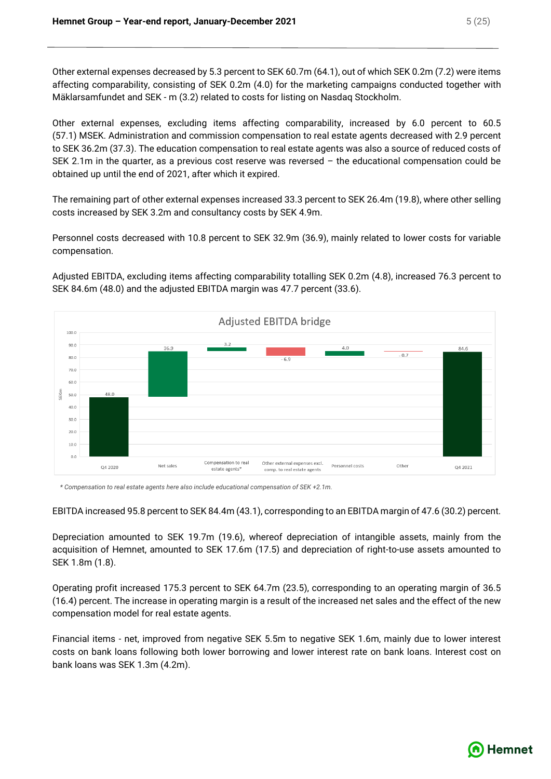Other external expenses decreased by 5.3 percent to SEK 60.7m (64.1), out of which SEK 0.2m (7.2) were items affecting comparability, consisting of SEK 0.2m (4.0) for the marketing campaigns conducted together with Mäklarsamfundet and SEK - m (3.2) related to costs for listing on Nasdaq Stockholm.

Other external expenses, excluding items affecting comparability, increased by 6.0 percent to 60.5 (57.1) MSEK. Administration and commission compensation to real estate agents decreased with 2.9 percent to SEK 36.2m (37.3). The education compensation to real estate agents was also a source of reduced costs of SEK 2.1m in the quarter, as a previous cost reserve was reversed – the educational compensation could be obtained up until the end of 2021, after which it expired.

The remaining part of other external expenses increased 33.3 percent to SEK 26.4m (19.8), where other selling costs increased by SEK 3.2m and consultancy costs by SEK 4.9m.

Personnel costs decreased with 10.8 percent to SEK 32.9m (36.9), mainly related to lower costs for variable compensation.

Adjusted EBITDA, excluding items affecting comparability totalling SEK 0.2m (4.8), increased 76.3 percent to SEK 84.6m (48.0) and the adjusted EBITDA margin was 47.7 percent (33.6).



*\* Compensation to real estate agents here also include educational compensation of SEK +2.1m.*

EBITDA increased 95.8 percent to SEK 84.4m (43.1), corresponding to an EBITDA margin of 47.6 (30.2) percent.

Depreciation amounted to SEK 19.7m (19.6), whereof depreciation of intangible assets, mainly from the acquisition of Hemnet, amounted to SEK 17.6m (17.5) and depreciation of right-to-use assets amounted to SEK 1.8m (1.8).

Operating profit increased 175.3 percent to SEK 64.7m (23.5), corresponding to an operating margin of 36.5 (16.4) percent. The increase in operating margin is a result of the increased net sales and the effect of the new compensation model for real estate agents.

Financial items - net, improved from negative SEK 5.5m to negative SEK 1.6m, mainly due to lower interest costs on bank loans following both lower borrowing and lower interest rate on bank loans. Interest cost on bank loans was SEK 1.3m (4.2m).

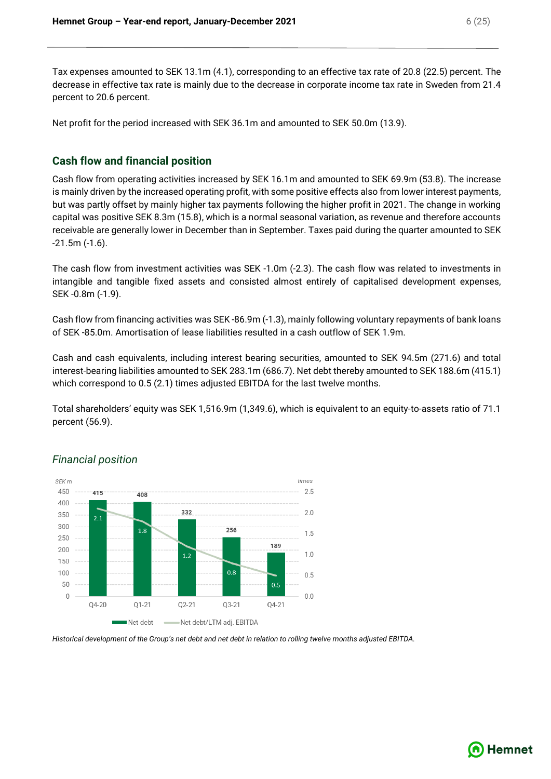Tax expenses amounted to SEK 13.1m (4.1), corresponding to an effective tax rate of 20.8 (22.5) percent. The decrease in effective tax rate is mainly due to the decrease in corporate income tax rate in Sweden from 21.4 percent to 20.6 percent.

Net profit for the period increased with SEK 36.1m and amounted to SEK 50.0m (13.9).

### **Cash flow and financial position**

Cash flow from operating activities increased by SEK 16.1m and amounted to SEK 69.9m (53.8). The increase is mainly driven by the increased operating profit, with some positive effects also from lower interest payments, but was partly offset by mainly higher tax payments following the higher profit in 2021. The change in working capital was positive SEK 8.3m (15.8), which is a normal seasonal variation, as revenue and therefore accounts receivable are generally lower in December than in September. Taxes paid during the quarter amounted to SEK -21.5m (-1.6).

The cash flow from investment activities was SEK -1.0m (-2.3). The cash flow was related to investments in intangible and tangible fixed assets and consisted almost entirely of capitalised development expenses, SEK -0.8m (-1.9).

Cash flow from financing activities was SEK -86.9m (-1.3), mainly following voluntary repayments of bank loans of SEK -85.0m. Amortisation of lease liabilities resulted in a cash outflow of SEK 1.9m.

Cash and cash equivalents, including interest bearing securities, amounted to SEK 94.5m (271.6) and total interest-bearing liabilities amounted to SEK 283.1m (686.7). Net debt thereby amounted to SEK 188.6m (415.1) which correspond to 0.5 (2.1) times adjusted EBITDA for the last twelve months.

Total shareholders' equity was SEK 1,516.9m (1,349.6), which is equivalent to an equity-to-assets ratio of 71.1 percent (56.9).



### *Financial position*

*Historical development of the Group's net debt and net debt in relation to rolling twelve months adjusted EBITDA.*



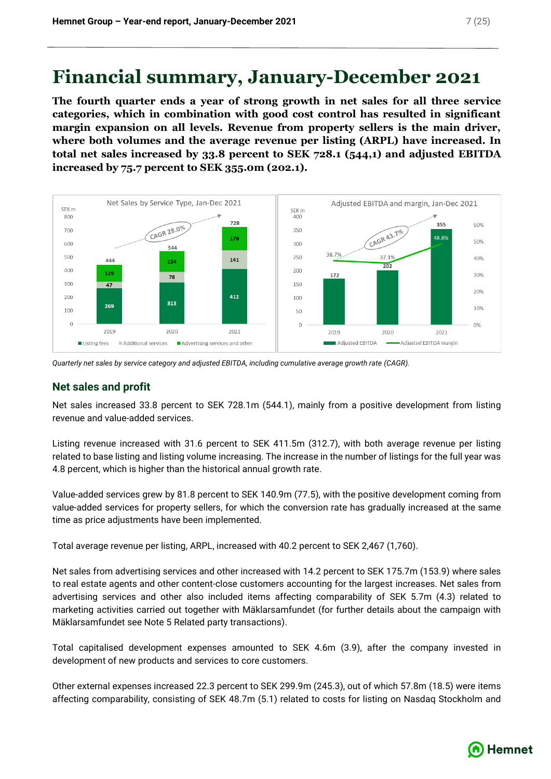# **Financial summary, January-December 2021**

**The fourth quarter ends a year of strong growth in net sales for all three service categories, which in combination with good cost control has resulted in significant margin expansion on all levels. Revenue from property sellers is the main driver, where both volumes and the average revenue per listing (ARPL) have increased. In total net sales increased by 33.8 percent to SEK 728.1 (544,1) and adjusted EBITDA increased by 75.7 percent to SEK 355.0m (202.1).**



*Quarterly net sales by service category and adjusted EBITDA, including cumulative average growth rate (CAGR).*

### **Net sales and profit**

Net sales increased 33.8 percent to SEK 728.1m (544.1), mainly from a positive development from listing revenue and value-added services.

Listing revenue increased with 31.6 percent to SEK 411.5m (312.7), with both average revenue per listing related to base listing and listing volume increasing. The increase in the number of listings for the full year was 4.8 percent, which is higher than the historical annual growth rate.

Value-added services grew by 81.8 percent to SEK 140.9m (77.5), with the positive development coming from value-added services for property sellers, for which the conversion rate has gradually increased at the same time as price adjustments have been implemented.

Total average revenue per listing, ARPL, increased with 40.2 percent to SEK 2,467 (1,760).

Net sales from advertising services and other increased with 14.2 percent to SEK 175.7m (153.9) where sales to real estate agents and other content-close customers accounting for the largest increases. Net sales from advertising services and other also included items affecting comparability of SEK 5.7m (4.3) related to marketing activities carried out together with Mäklarsamfundet (for further details about the campaign with Mäklarsamfundet see Note 5 Related party transactions).

Total capitalised development expenses amounted to SEK 4.6m (3.9), after the company invested in development of new products and services to core customers.

Other external expenses increased 22.3 percent to SEK 299.9m (245.3), out of which 57.8m (18.5) were items affecting comparability, consisting of SEK 48.7m (5.1) related to costs for listing on Nasdaq Stockholm and



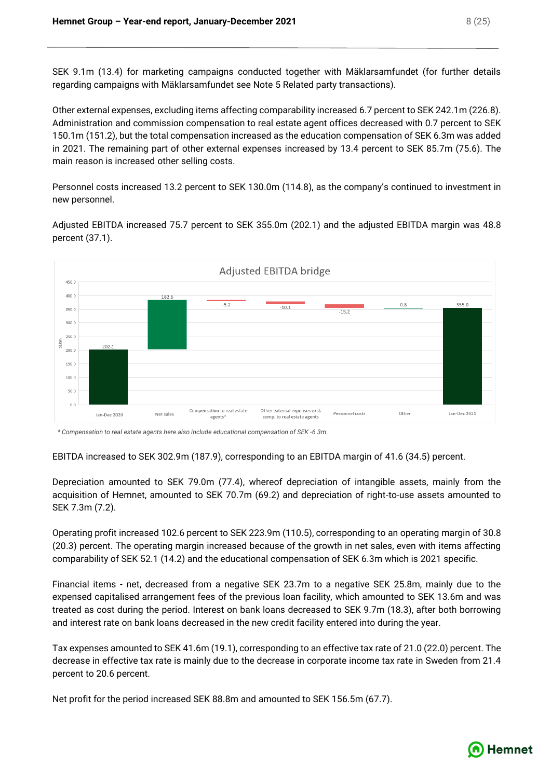SEK 9.1m (13.4) for marketing campaigns conducted together with Mäklarsamfundet (for further details regarding campaigns with Mäklarsamfundet see Note 5 Related party transactions).

Other external expenses, excluding items affecting comparability increased 6.7 percent to SEK 242.1m (226.8). Administration and commission compensation to real estate agent offices decreased with 0.7 percent to SEK 150.1m (151.2), but the total compensation increased as the education compensation of SEK 6.3m was added in 2021. The remaining part of other external expenses increased by 13.4 percent to SEK 85.7m (75.6). The main reason is increased other selling costs.

Personnel costs increased 13.2 percent to SEK 130.0m (114.8), as the company's continued to investment in new personnel.

Adjusted EBITDA increased 75.7 percent to SEK 355.0m (202.1) and the adjusted EBITDA margin was 48.8 percent (37.1).



*\* Compensation to real estate agents here also include educational compensation of SEK -6.3m.*

EBITDA increased to SEK 302.9m (187.9), corresponding to an EBITDA margin of 41.6 (34.5) percent.

Depreciation amounted to SEK 79.0m (77.4), whereof depreciation of intangible assets, mainly from the acquisition of Hemnet, amounted to SEK 70.7m (69.2) and depreciation of right-to-use assets amounted to SEK 7.3m (7.2).

Operating profit increased 102.6 percent to SEK 223.9m (110.5), corresponding to an operating margin of 30.8 (20.3) percent. The operating margin increased because of the growth in net sales, even with items affecting comparability of SEK 52.1 (14.2) and the educational compensation of SEK 6.3m which is 2021 specific.

Financial items - net, decreased from a negative SEK 23.7m to a negative SEK 25.8m, mainly due to the expensed capitalised arrangement fees of the previous loan facility, which amounted to SEK 13.6m and was treated as cost during the period. Interest on bank loans decreased to SEK 9.7m (18.3), after both borrowing and interest rate on bank loans decreased in the new credit facility entered into during the year.

Tax expenses amounted to SEK 41.6m (19.1), corresponding to an effective tax rate of 21.0 (22.0) percent. The decrease in effective tax rate is mainly due to the decrease in corporate income tax rate in Sweden from 21.4 percent to 20.6 percent.

Net profit for the period increased SEK 88.8m and amounted to SEK 156.5m (67.7).

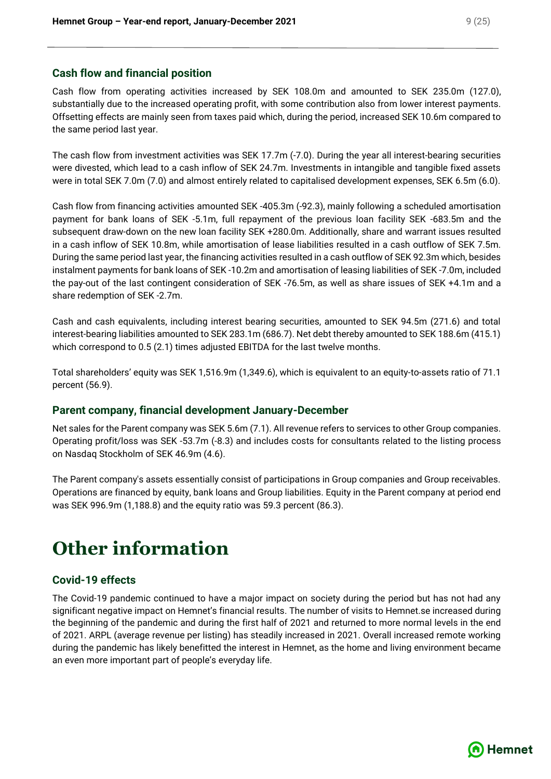### **Cash flow and financial position**

Cash flow from operating activities increased by SEK 108.0m and amounted to SEK 235.0m (127.0), substantially due to the increased operating profit, with some contribution also from lower interest payments. Offsetting effects are mainly seen from taxes paid which, during the period, increased SEK 10.6m compared to the same period last year.

The cash flow from investment activities was SEK 17.7m (-7.0). During the year all interest-bearing securities were divested, which lead to a cash inflow of SEK 24.7m. Investments in intangible and tangible fixed assets were in total SEK 7.0m (7.0) and almost entirely related to capitalised development expenses, SEK 6.5m (6.0).

Cash flow from financing activities amounted SEK -405.3m (-92.3), mainly following a scheduled amortisation payment for bank loans of SEK -5.1m, full repayment of the previous loan facility SEK -683.5m and the subsequent draw-down on the new loan facility SEK +280.0m. Additionally, share and warrant issues resulted in a cash inflow of SEK 10.8m, while amortisation of lease liabilities resulted in a cash outflow of SEK 7.5m. During the same period last year, the financing activities resulted in a cash outflow of SEK 92.3m which, besides instalment payments for bank loans of SEK -10.2m and amortisation of leasing liabilities of SEK -7.0m, included the pay-out of the last contingent consideration of SEK -76.5m, as well as share issues of SEK +4.1m and a share redemption of SEK -2.7m.

Cash and cash equivalents, including interest bearing securities, amounted to SEK 94.5m (271.6) and total interest-bearing liabilities amounted to SEK 283.1m (686.7). Net debt thereby amounted to SEK 188.6m (415.1) which correspond to 0.5 (2.1) times adjusted EBITDA for the last twelve months.

Total shareholders' equity was SEK 1,516.9m (1,349.6), which is equivalent to an equity-to-assets ratio of 71.1 percent (56.9).

### **Parent company, financial development January-December**

Net sales for the Parent company was SEK 5.6m (7.1). All revenue refers to services to other Group companies. Operating profit/loss was SEK -53.7m (-8.3) and includes costs for consultants related to the listing process on Nasdaq Stockholm of SEK 46.9m (4.6).

The Parent company's assets essentially consist of participations in Group companies and Group receivables. Operations are financed by equity, bank loans and Group liabilities. Equity in the Parent company at period end was SEK 996.9m (1,188.8) and the equity ratio was 59.3 percent (86.3).

# **Other information**

### **Covid-19 effects**

The Covid-19 pandemic continued to have a major impact on society during the period but has not had any significant negative impact on Hemnet's financial results. The number of visits to Hemnet.se increased during the beginning of the pandemic and during the first half of 2021 and returned to more normal levels in the end of 2021. ARPL (average revenue per listing) has steadily increased in 2021. Overall increased remote working during the pandemic has likely benefitted the interest in Hemnet, as the home and living environment became an even more important part of people's everyday life.

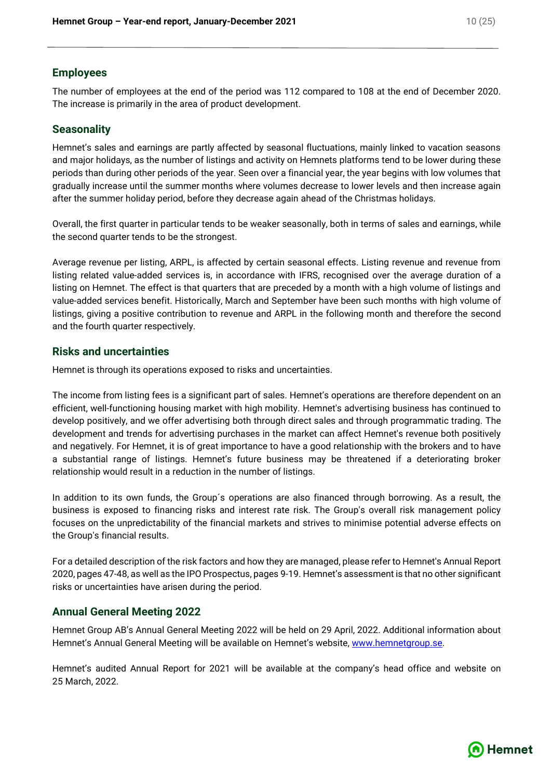### **Employees**

The number of employees at the end of the period was 112 compared to 108 at the end of December 2020. The increase is primarily in the area of product development.

### **Seasonality**

Hemnet's sales and earnings are partly affected by seasonal fluctuations, mainly linked to vacation seasons and major holidays, as the number of listings and activity on Hemnets platforms tend to be lower during these periods than during other periods of the year. Seen over a financial year, the year begins with low volumes that gradually increase until the summer months where volumes decrease to lower levels and then increase again after the summer holiday period, before they decrease again ahead of the Christmas holidays.

Overall, the first quarter in particular tends to be weaker seasonally, both in terms of sales and earnings, while the second quarter tends to be the strongest.

Average revenue per listing, ARPL, is affected by certain seasonal effects. Listing revenue and revenue from listing related value-added services is, in accordance with IFRS, recognised over the average duration of a listing on Hemnet. The effect is that quarters that are preceded by a month with a high volume of listings and value-added services benefit. Historically, March and September have been such months with high volume of listings, giving a positive contribution to revenue and ARPL in the following month and therefore the second and the fourth quarter respectively.

### **Risks and uncertainties**

Hemnet is through its operations exposed to risks and uncertainties.

The income from listing fees is a significant part of sales. Hemnet's operations are therefore dependent on an efficient, well-functioning housing market with high mobility. Hemnet's advertising business has continued to develop positively, and we offer advertising both through direct sales and through programmatic trading. The development and trends for advertising purchases in the market can affect Hemnet's revenue both positively and negatively. For Hemnet, it is of great importance to have a good relationship with the brokers and to have a substantial range of listings. Hemnet's future business may be threatened if a deteriorating broker relationship would result in a reduction in the number of listings.

In addition to its own funds, the Group´s operations are also financed through borrowing. As a result, the business is exposed to financing risks and interest rate risk. The Group's overall risk management policy focuses on the unpredictability of the financial markets and strives to minimise potential adverse effects on the Group's financial results.

For a detailed description of the risk factors and how they are managed, please refer to Hemnet's Annual Report 2020, pages 47-48, as well as the IPO Prospectus, pages 9-19. Hemnet's assessment is that no other significant risks or uncertainties have arisen during the period.

### **Annual General Meeting 2022**

Hemnet Group AB's Annual General Meeting 2022 will be held on 29 April, 2022. Additional information about Hemnet's Annual General Meeting will be available on Hemnet's website, [www.hemnetgroup.se.](http://www.hemnetgroup.se/)

Hemnet's audited Annual Report for 2021 will be available at the company's head office and website on 25 March, 2022.

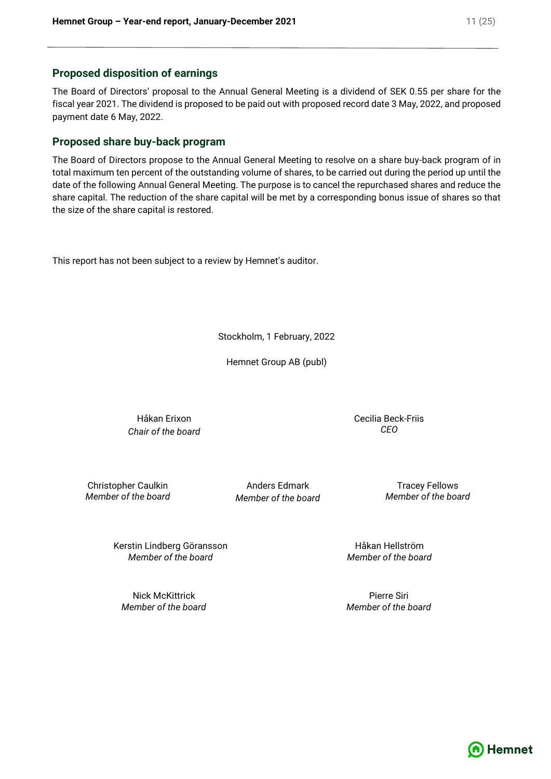### **Proposed disposition of earnings**

The Board of Directors' proposal to the Annual General Meeting is a dividend of SEK 0.55 per share for the fiscal year 2021. The dividend is proposed to be paid out with proposed record date 3 May, 2022, and proposed payment date 6 May, 2022.

### **Proposed share buy-back program**

The Board of Directors propose to the Annual General Meeting to resolve on a share buy-back program of in total maximum ten percent of the outstanding volume of shares, to be carried out during the period up until the date of the following Annual General Meeting. The purpose is to cancel the repurchased shares and reduce the share capital. The reduction of the share capital will be met by a corresponding bonus issue of shares so that the size of the share capital is restored.

This report has not been subject to a review by Hemnet's auditor.

Stockholm, 1 February, 2022

Hemnet Group AB (publ)

Håkan Erixon *Chair of the board* Cecilia Beck-Friis *CEO*

Christopher Caulkin *Member of the board*

Anders Edmark *Member of the board*

Tracey Fellows *Member of the board*

Kerstin Lindberg Göransson *Member of the board*

Nick McKittrick *Member of the board*

Håkan Hellström *Member of the board*

Pierre Siri *Member of the board*

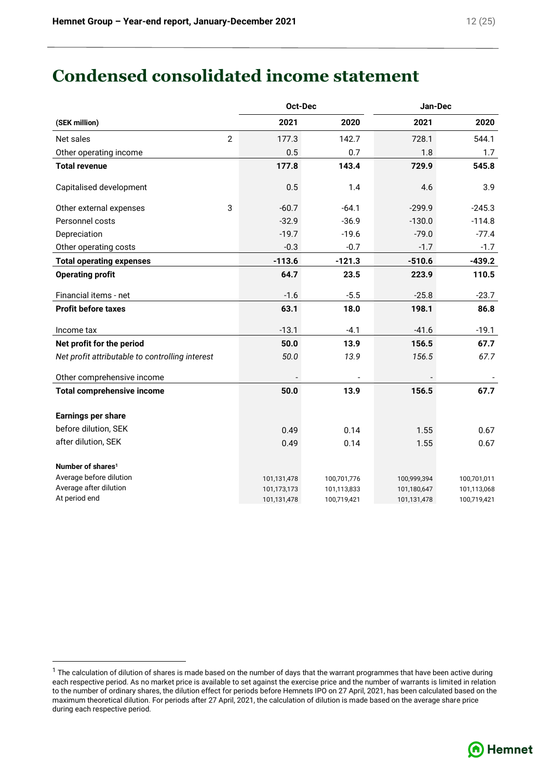# **Condensed consolidated income statement**

|                                                 |                | Oct-Dec     |             | Jan-Dec     |             |
|-------------------------------------------------|----------------|-------------|-------------|-------------|-------------|
| (SEK million)                                   |                | 2021        | 2020        | 2021        | 2020        |
| Net sales                                       | $\overline{2}$ | 177.3       | 142.7       | 728.1       | 544.1       |
| Other operating income                          |                | 0.5         | 0.7         | 1.8         | 1.7         |
| <b>Total revenue</b>                            |                | 177.8       | 143.4       | 729.9       | 545.8       |
| Capitalised development                         |                | 0.5         | 1.4         | 4.6         | 3.9         |
| Other external expenses                         | 3              | $-60.7$     | $-64.1$     | $-299.9$    | $-245.3$    |
| Personnel costs                                 |                | $-32.9$     | $-36.9$     | $-130.0$    | $-114.8$    |
| Depreciation                                    |                | $-19.7$     | $-19.6$     | $-79.0$     | $-77.4$     |
| Other operating costs                           |                | $-0.3$      | $-0.7$      | $-1.7$      | $-1.7$      |
| <b>Total operating expenses</b>                 |                | $-113.6$    | $-121.3$    | $-510.6$    | $-439.2$    |
| <b>Operating profit</b>                         |                | 64.7        | 23.5        | 223.9       | 110.5       |
| Financial items - net                           |                | $-1.6$      | $-5.5$      | $-25.8$     | $-23.7$     |
| <b>Profit before taxes</b>                      |                | 63.1        | 18.0        | 198.1       | 86.8        |
| Income tax                                      |                | $-13.1$     | $-4.1$      | $-41.6$     | $-19.1$     |
| Net profit for the period                       |                | 50.0        | 13.9        | 156.5       | 67.7        |
| Net profit attributable to controlling interest |                | 50.0        | 13.9        | 156.5       | 67.7        |
| Other comprehensive income                      |                |             |             |             |             |
| <b>Total comprehensive income</b>               |                | 50.0        | 13.9        | 156.5       | 67.7        |
| Earnings per share                              |                |             |             |             |             |
| before dilution, SEK                            |                | 0.49        | 0.14        | 1.55        | 0.67        |
| after dilution, SEK                             |                | 0.49        | 0.14        | 1.55        | 0.67        |
| Number of shares <sup>1</sup>                   |                |             |             |             |             |
| Average before dilution                         |                | 101,131,478 | 100,701,776 | 100,999,394 | 100,701,011 |
| Average after dilution                          |                | 101,173,173 | 101,113,833 | 101,180,647 | 101,113,068 |
| At period end                                   |                | 101,131,478 | 100,719,421 | 101,131,478 | 100,719,421 |

 $1$  The calculation of dilution of shares is made based on the number of days that the warrant programmes that have been active during each respective period. As no market price is available to set against the exercise price and the number of warrants is limited in relation to the number of ordinary shares, the dilution effect for periods before Hemnets IPO on 27 April, 2021, has been calculated based on the maximum theoretical dilution. For periods after 27 April, 2021, the calculation of dilution is made based on the average share price during each respective period.

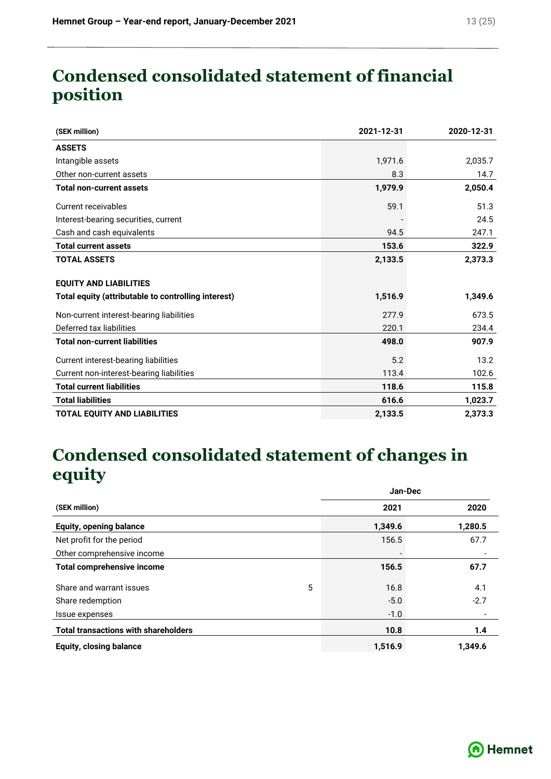# **Condensed consolidated statement of financial position**

| (SEK million)                                       | 2021-12-31 | 2020-12-31 |
|-----------------------------------------------------|------------|------------|
| <b>ASSETS</b>                                       |            |            |
| Intangible assets                                   | 1,971.6    | 2,035.7    |
| Other non-current assets                            | 8.3        | 14.7       |
| <b>Total non-current assets</b>                     | 1,979.9    | 2,050.4    |
| Current receivables                                 | 59.1       | 51.3       |
| Interest-bearing securities, current                |            | 24.5       |
| Cash and cash equivalents                           | 94.5       | 247.1      |
| <b>Total current assets</b>                         | 153.6      | 322.9      |
| <b>TOTAL ASSETS</b>                                 | 2,133.5    | 2,373.3    |
| <b>EQUITY AND LIABILITIES</b>                       |            |            |
| Total equity (attributable to controlling interest) | 1,516.9    | 1,349.6    |
| Non-current interest-bearing liabilities            | 277.9      | 673.5      |
| Deferred tax liabilities                            | 220.1      | 234.4      |
| <b>Total non-current liabilities</b>                | 498.0      | 907.9      |
| Current interest-bearing liabilities                | 5.2        | 13.2       |
| Current non-interest-bearing liabilities            | 113.4      | 102.6      |
| <b>Total current liabilities</b>                    | 118.6      | 115.8      |
| <b>Total liabilities</b>                            | 616.6      | 1,023.7    |
| <b>TOTAL EQUITY AND LIABILITIES</b>                 | 2,133.5    | 2,373.3    |

# **Condensed consolidated statement of changes in equity**

|                                             |   | Jan-Dec |         |
|---------------------------------------------|---|---------|---------|
| (SEK million)                               |   | 2021    | 2020    |
| <b>Equity, opening balance</b>              |   | 1,349.6 | 1,280.5 |
| Net profit for the period                   |   | 156.5   | 67.7    |
| Other comprehensive income                  |   |         |         |
| <b>Total comprehensive income</b>           |   | 156.5   | 67.7    |
| Share and warrant issues                    | 5 | 16.8    | 4.1     |
| Share redemption                            |   | $-5.0$  | $-2.7$  |
| Issue expenses                              |   | $-1.0$  |         |
| <b>Total transactions with shareholders</b> |   | 10.8    | 1.4     |
| <b>Equity, closing balance</b>              |   | 1,516.9 | 1,349.6 |

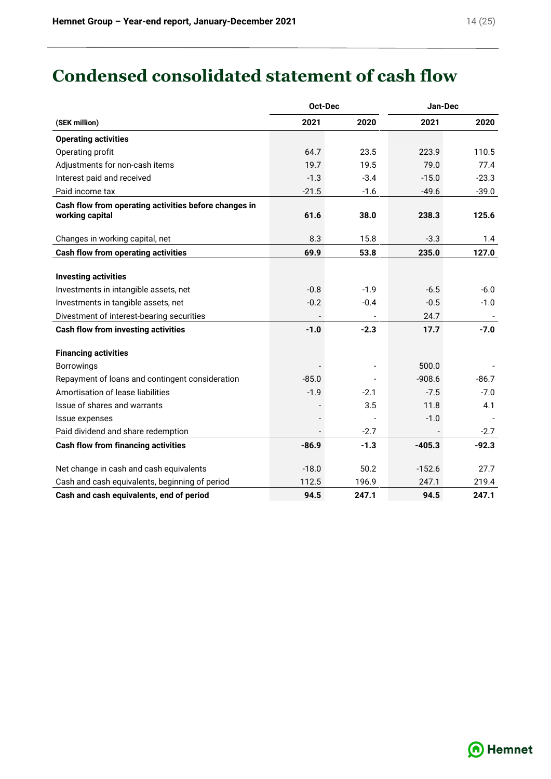# **Condensed consolidated statement of cash flow**

|                                                                          | Oct-Dec |        | Jan-Dec  |         |  |
|--------------------------------------------------------------------------|---------|--------|----------|---------|--|
| (SEK million)                                                            | 2021    | 2020   | 2021     | 2020    |  |
| <b>Operating activities</b>                                              |         |        |          |         |  |
| Operating profit                                                         | 64.7    | 23.5   | 223.9    | 110.5   |  |
| Adjustments for non-cash items                                           | 19.7    | 19.5   | 79.0     | 77.4    |  |
| Interest paid and received                                               | $-1.3$  | $-3.4$ | $-15.0$  | $-23.3$ |  |
| Paid income tax                                                          | $-21.5$ | $-1.6$ | $-49.6$  | $-39.0$ |  |
| Cash flow from operating activities before changes in<br>working capital | 61.6    | 38.0   | 238.3    | 125.6   |  |
| Changes in working capital, net                                          | 8.3     | 15.8   | $-3.3$   | 1.4     |  |
| <b>Cash flow from operating activities</b>                               | 69.9    | 53.8   | 235.0    | 127.0   |  |
| <b>Investing activities</b>                                              |         |        |          |         |  |
| Investments in intangible assets, net                                    | $-0.8$  | $-1.9$ | $-6.5$   | $-6.0$  |  |
| Investments in tangible assets, net                                      | $-0.2$  | $-0.4$ | $-0.5$   | $-1.0$  |  |
| Divestment of interest-bearing securities                                |         |        | 24.7     |         |  |
| <b>Cash flow from investing activities</b>                               | $-1.0$  | $-2.3$ | 17.7     | $-7.0$  |  |
| <b>Financing activities</b>                                              |         |        |          |         |  |
| Borrowings                                                               |         |        | 500.0    |         |  |
| Repayment of loans and contingent consideration                          | $-85.0$ |        | $-908.6$ | $-86.7$ |  |
| Amortisation of lease liabilities                                        | $-1.9$  | $-2.1$ | $-7.5$   | $-7.0$  |  |
| Issue of shares and warrants                                             |         | 3.5    | 11.8     | 4.1     |  |
| Issue expenses                                                           |         |        | $-1.0$   |         |  |
| Paid dividend and share redemption                                       |         | $-2.7$ |          | $-2.7$  |  |
| <b>Cash flow from financing activities</b>                               | $-86.9$ | $-1.3$ | $-405.3$ | $-92.3$ |  |
| Net change in cash and cash equivalents                                  | $-18.0$ | 50.2   | $-152.6$ | 27.7    |  |
| Cash and cash equivalents, beginning of period                           | 112.5   | 196.9  | 247.1    | 219.4   |  |
| Cash and cash equivalents, end of period                                 | 94.5    | 247.1  | 94.5     | 247.1   |  |

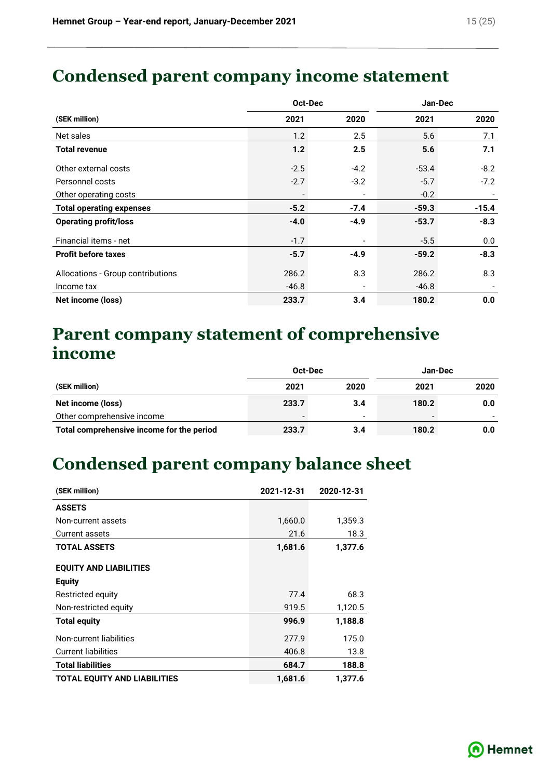# **Condensed parent company income statement**

|                                   | Oct-Dec |                          |         | Jan-Dec |  |
|-----------------------------------|---------|--------------------------|---------|---------|--|
| (SEK million)                     | 2021    | 2020                     | 2021    | 2020    |  |
| Net sales                         | 1.2     | 2.5                      | 5.6     | 7.1     |  |
| <b>Total revenue</b>              | 1.2     | 2.5                      | 5.6     | 7.1     |  |
| Other external costs              | $-2.5$  | $-4.2$                   | $-53.4$ | $-8.2$  |  |
| Personnel costs                   | $-2.7$  | $-3.2$                   | $-5.7$  | $-7.2$  |  |
| Other operating costs             |         | $\overline{\phantom{0}}$ | $-0.2$  |         |  |
| <b>Total operating expenses</b>   | $-5.2$  | $-7.4$                   | $-59.3$ | $-15.4$ |  |
| <b>Operating profit/loss</b>      | $-4.0$  | $-4.9$                   | $-53.7$ | $-8.3$  |  |
| Financial items - net             | $-1.7$  | $\overline{\phantom{a}}$ | $-5.5$  | 0.0     |  |
| <b>Profit before taxes</b>        | $-5.7$  | $-4.9$                   | $-59.2$ | $-8.3$  |  |
| Allocations - Group contributions | 286.2   | 8.3                      | 286.2   | 8.3     |  |
| Income tax                        | $-46.8$ | $\overline{\phantom{0}}$ | $-46.8$ |         |  |
| Net income (loss)                 | 233.7   | 3.4                      | 180.2   | 0.0     |  |

# **Parent company statement of comprehensive income**

|                                           | Oct-Dec |                          | Jan-Dec |      |
|-------------------------------------------|---------|--------------------------|---------|------|
| (SEK million)                             | 2021    | 2020                     | 2021    | 2020 |
| Net income (loss)                         | 233.7   | 3.4                      | 180.2   | 0.0  |
| Other comprehensive income                |         | $\overline{\phantom{a}}$ |         |      |
| Total comprehensive income for the period | 233.7   | 3.4                      | 180.2   | 0.0  |

# **Condensed parent company balance sheet**

| (SEK million)                       | 2021-12-31 | 2020-12-31 |
|-------------------------------------|------------|------------|
| <b>ASSETS</b>                       |            |            |
| Non-current assets                  | 1,660.0    | 1,359.3    |
| <b>Current assets</b>               | 21.6       | 18.3       |
| <b>TOTAL ASSETS</b>                 | 1,681.6    | 1,377.6    |
| <b>EQUITY AND LIABILITIES</b>       |            |            |
| <b>Equity</b>                       |            |            |
| Restricted equity                   | 77.4       | 68.3       |
| Non-restricted equity               | 919.5      | 1,120.5    |
| <b>Total equity</b>                 | 996.9      | 1,188.8    |
| Non-current liabilities             | 277.9      | 175.0      |
| <b>Current liabilities</b>          | 406.8      | 13.8       |
| <b>Total liabilities</b>            | 684.7      | 188.8      |
| <b>TOTAL EQUITY AND LIABILITIES</b> | 1,681.6    | 1,377.6    |

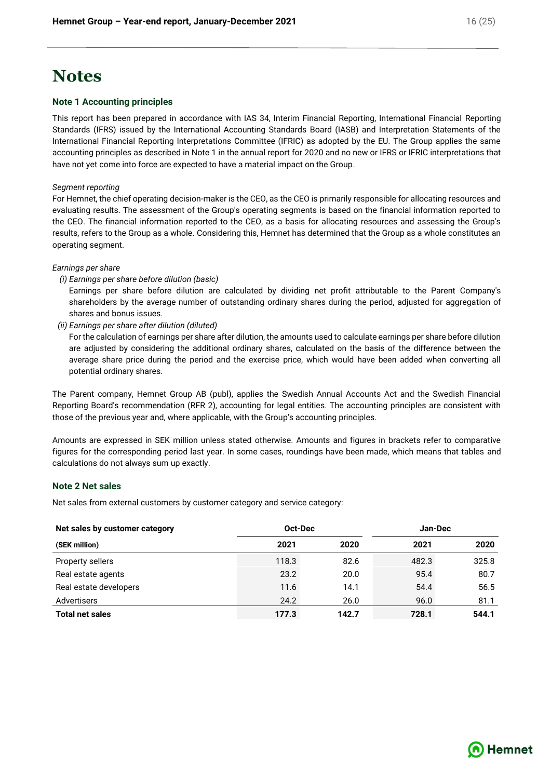## **Notes**

#### **Note 1 Accounting principles**

This report has been prepared in accordance with IAS 34, Interim Financial Reporting, International Financial Reporting Standards (IFRS) issued by the International Accounting Standards Board (IASB) and Interpretation Statements of the International Financial Reporting Interpretations Committee (IFRIC) as adopted by the EU. The Group applies the same accounting principles as described in Note 1 in the annual report for 2020 and no new or IFRS or IFRIC interpretations that have not yet come into force are expected to have a material impact on the Group.

#### *Segment reporting*

For Hemnet, the chief operating decision-maker is the CEO, as the CEO is primarily responsible for allocating resources and evaluating results. The assessment of the Group's operating segments is based on the financial information reported to the CEO. The financial information reported to the CEO, as a basis for allocating resources and assessing the Group's results, refers to the Group as a whole. Considering this, Hemnet has determined that the Group as a whole constitutes an operating segment.

#### *Earnings per share*

*(i) Earnings per share before dilution (basic)*

Earnings per share before dilution are calculated by dividing net profit attributable to the Parent Company's shareholders by the average number of outstanding ordinary shares during the period, adjusted for aggregation of shares and bonus issues.

*(ii) Earnings per share after dilution (diluted)*

For the calculation of earnings per share after dilution, the amounts used to calculate earnings per share before dilution are adjusted by considering the additional ordinary shares, calculated on the basis of the difference between the average share price during the period and the exercise price, which would have been added when converting all potential ordinary shares.

The Parent company, Hemnet Group AB (publ), applies the Swedish Annual Accounts Act and the Swedish Financial Reporting Board's recommendation (RFR 2), accounting for legal entities. The accounting principles are consistent with those of the previous year and, where applicable, with the Group's accounting principles.

Amounts are expressed in SEK million unless stated otherwise. Amounts and figures in brackets refer to comparative figures for the corresponding period last year. In some cases, roundings have been made, which means that tables and calculations do not always sum up exactly.

#### **Note 2 Net sales**

Net sales from external customers by customer category and service category:

| Net sales by customer category |       | Oct-Dec |       | Jan-Dec |  |
|--------------------------------|-------|---------|-------|---------|--|
| (SEK million)                  | 2021  | 2020    | 2021  | 2020    |  |
| Property sellers               | 118.3 | 82.6    | 482.3 | 325.8   |  |
| Real estate agents             | 23.2  | 20.0    | 95.4  | 80.7    |  |
| Real estate developers         | 11.6  | 14.1    | 54.4  | 56.5    |  |
| Advertisers                    | 24.2  | 26.0    | 96.0  | 81.1    |  |
| <b>Total net sales</b>         | 177.3 | 142.7   | 728.1 | 544.1   |  |

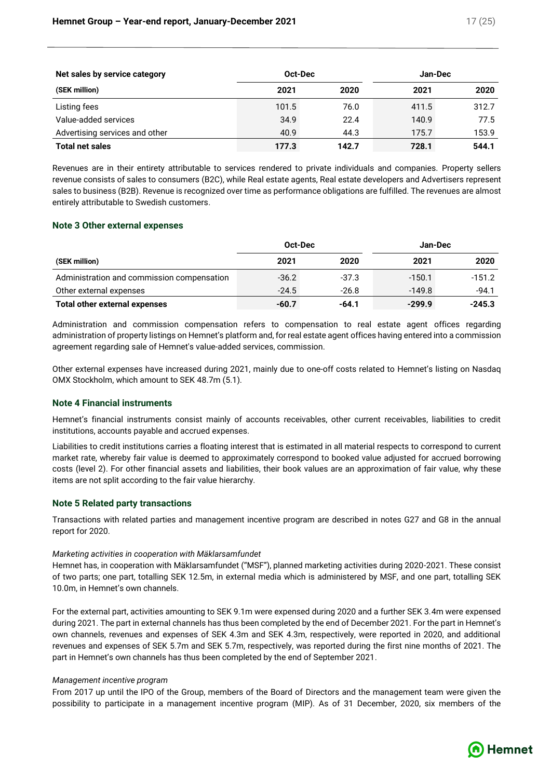| Net sales by service category  | Oct-Dec |       |       | Jan-Dec |  |
|--------------------------------|---------|-------|-------|---------|--|
| (SEK million)                  | 2021    | 2020  | 2021  | 2020    |  |
| Listing fees                   | 101.5   | 76.0  | 411.5 | 312.7   |  |
| Value-added services           | 34.9    | 22.4  | 140.9 | 77.5    |  |
| Advertising services and other | 40.9    | 44.3  | 175.7 | 153.9   |  |
| <b>Total net sales</b>         | 177.3   | 142.7 | 728.1 | 544.1   |  |

Revenues are in their entirety attributable to services rendered to private individuals and companies. Property sellers revenue consists of sales to consumers (B2C), while Real estate agents, Real estate developers and Advertisers represent sales to business (B2B). Revenue is recognized over time as performance obligations are fulfilled. The revenues are almost entirely attributable to Swedish customers.

### **Note 3 Other external expenses**

|                                            | Oct-Dec |         | Jan-Dec  |          |
|--------------------------------------------|---------|---------|----------|----------|
| (SEK million)                              | 2021    | 2020    | 2021     | 2020     |
| Administration and commission compensation | $-36.2$ | $-37.3$ | $-150.1$ | $-151.2$ |
| Other external expenses                    | $-24.5$ | $-26.8$ | $-149.8$ | $-94.1$  |
| Total other external expenses              | $-60.7$ | -64.1   | $-299.9$ | $-245.3$ |

Administration and commission compensation refers to compensation to real estate agent offices regarding administration of property listings on Hemnet's platform and, for real estate agent offices having entered into a commission agreement regarding sale of Hemnet's value-added services, commission.

Other external expenses have increased during 2021, mainly due to one-off costs related to Hemnet's listing on Nasdaq OMX Stockholm, which amount to SEK 48.7m (5.1).

#### **Note 4 Financial instruments**

Hemnet's financial instruments consist mainly of accounts receivables, other current receivables, liabilities to credit institutions, accounts payable and accrued expenses.

Liabilities to credit institutions carries a floating interest that is estimated in all material respects to correspond to current market rate, whereby fair value is deemed to approximately correspond to booked value adjusted for accrued borrowing costs (level 2). For other financial assets and liabilities, their book values are an approximation of fair value, why these items are not split according to the fair value hierarchy.

#### **Note 5 Related party transactions**

Transactions with related parties and management incentive program are described in notes G27 and G8 in the annual report for 2020.

### *Marketing activities in cooperation with Mäklarsamfundet*

Hemnet has, in cooperation with Mäklarsamfundet ("MSF"), planned marketing activities during 2020-2021. These consist of two parts; one part, totalling SEK 12.5m, in external media which is administered by MSF, and one part, totalling SEK 10.0m, in Hemnet's own channels.

For the external part, activities amounting to SEK 9.1m were expensed during 2020 and a further SEK 3.4m were expensed during 2021. The part in external channels has thus been completed by the end of December 2021. For the part in Hemnet's own channels, revenues and expenses of SEK 4.3m and SEK 4.3m, respectively, were reported in 2020, and additional revenues and expenses of SEK 5.7m and SEK 5.7m, respectively, was reported during the first nine months of 2021. The part in Hemnet's own channels has thus been completed by the end of September 2021.

#### *Management incentive program*

From 2017 up until the IPO of the Group, members of the Board of Directors and the management team were given the possibility to participate in a management incentive program (MIP). As of 31 December, 2020, six members of the

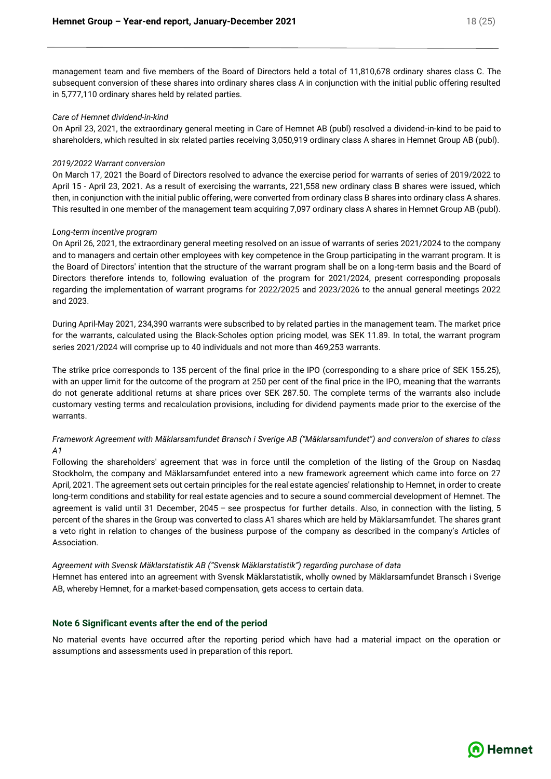management team and five members of the Board of Directors held a total of 11,810,678 ordinary shares class C. The subsequent conversion of these shares into ordinary shares class A in conjunction with the initial public offering resulted in 5,777,110 ordinary shares held by related parties.

#### *Care of Hemnet dividend-in-kind*

On April 23, 2021, the extraordinary general meeting in Care of Hemnet AB (publ) resolved a dividend-in-kind to be paid to shareholders, which resulted in six related parties receiving 3,050,919 ordinary class A shares in Hemnet Group AB (publ).

#### *2019/2022 Warrant conversion*

On March 17, 2021 the Board of Directors resolved to advance the exercise period for warrants of series of 2019/2022 to April 15 - April 23, 2021. As a result of exercising the warrants, 221,558 new ordinary class B shares were issued, which then, in conjunction with the initial public offering, were converted from ordinary class B shares into ordinary class A shares. This resulted in one member of the management team acquiring 7,097 ordinary class A shares in Hemnet Group AB (publ).

#### *Long-term incentive program*

On April 26, 2021, the extraordinary general meeting resolved on an issue of warrants of series 2021/2024 to the company and to managers and certain other employees with key competence in the Group participating in the warrant program. It is the Board of Directors' intention that the structure of the warrant program shall be on a long-term basis and the Board of Directors therefore intends to, following evaluation of the program for 2021/2024, present corresponding proposals regarding the implementation of warrant programs for 2022/2025 and 2023/2026 to the annual general meetings 2022 and 2023.

During April-May 2021, 234,390 warrants were subscribed to by related parties in the management team. The market price for the warrants, calculated using the Black-Scholes option pricing model, was SEK 11.89. In total, the warrant program series 2021/2024 will comprise up to 40 individuals and not more than 469,253 warrants.

The strike price corresponds to 135 percent of the final price in the IPO (corresponding to a share price of SEK 155.25), with an upper limit for the outcome of the program at 250 per cent of the final price in the IPO, meaning that the warrants do not generate additional returns at share prices over SEK 287.50. The complete terms of the warrants also include customary vesting terms and recalculation provisions, including for dividend payments made prior to the exercise of the warrants.

### *Framework Agreement with Mäklarsamfundet Bransch i Sverige AB ("Mäklarsamfundet") and conversion of shares to class A1*

Following the shareholders' agreement that was in force until the completion of the listing of the Group on Nasdaq Stockholm, the company and Mäklarsamfundet entered into a new framework agreement which came into force on 27 April, 2021. The agreement sets out certain principles for the real estate agencies' relationship to Hemnet, in order to create long-term conditions and stability for real estate agencies and to secure a sound commercial development of Hemnet. The agreement is valid until 31 December, 2045 – see prospectus for further details. Also, in connection with the listing, 5 percent of the shares in the Group was converted to class A1 shares which are held by Mäklarsamfundet. The shares grant a veto right in relation to changes of the business purpose of the company as described in the company's Articles of Association.

#### *Agreement with Svensk Mäklarstatistik AB ("Svensk Mäklarstatistik") regarding purchase of data*

Hemnet has entered into an agreement with Svensk Mäklarstatistik, wholly owned by Mäklarsamfundet Bransch i Sverige AB, whereby Hemnet, for a market-based compensation, gets access to certain data.

#### **Note 6 Significant events after the end of the period**

No material events have occurred after the reporting period which have had a material impact on the operation or assumptions and assessments used in preparation of this report.

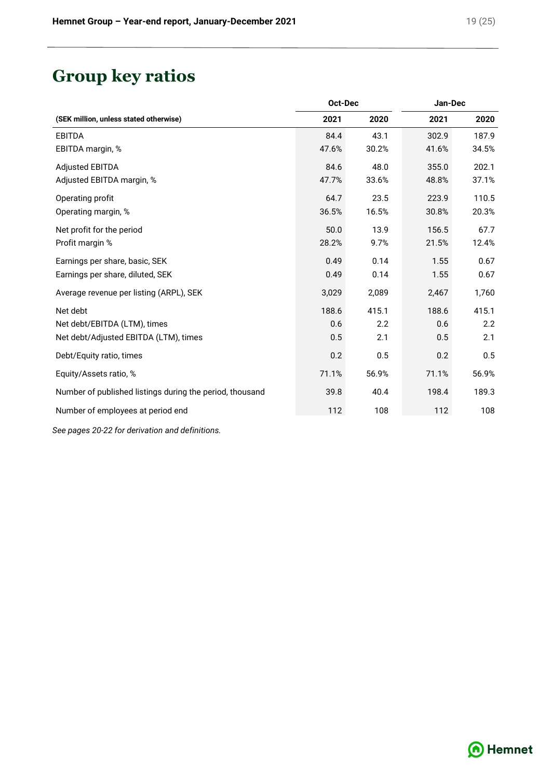# **Group key ratios**

|                                                          | Oct-Dec |       | Jan-Dec |       |  |
|----------------------------------------------------------|---------|-------|---------|-------|--|
| (SEK million, unless stated otherwise)                   | 2021    | 2020  | 2021    | 2020  |  |
| <b>EBITDA</b>                                            | 84.4    | 43.1  | 302.9   | 187.9 |  |
| EBITDA margin, %                                         | 47.6%   | 30.2% | 41.6%   | 34.5% |  |
| <b>Adjusted EBITDA</b>                                   | 84.6    | 48.0  | 355.0   | 202.1 |  |
| Adjusted EBITDA margin, %                                | 47.7%   | 33.6% | 48.8%   | 37.1% |  |
| Operating profit                                         | 64.7    | 23.5  | 223.9   | 110.5 |  |
| Operating margin, %                                      | 36.5%   | 16.5% | 30.8%   | 20.3% |  |
| Net profit for the period                                | 50.0    | 13.9  | 156.5   | 67.7  |  |
| Profit margin %                                          | 28.2%   | 9.7%  | 21.5%   | 12.4% |  |
| Earnings per share, basic, SEK                           | 0.49    | 0.14  | 1.55    | 0.67  |  |
| Earnings per share, diluted, SEK                         | 0.49    | 0.14  | 1.55    | 0.67  |  |
| Average revenue per listing (ARPL), SEK                  | 3,029   | 2,089 | 2,467   | 1,760 |  |
| Net debt                                                 | 188.6   | 415.1 | 188.6   | 415.1 |  |
| Net debt/EBITDA (LTM), times                             | 0.6     | 2.2   | 0.6     | 2.2   |  |
| Net debt/Adjusted EBITDA (LTM), times                    | 0.5     | 2.1   | 0.5     | 2.1   |  |
| Debt/Equity ratio, times                                 | 0.2     | 0.5   | 0.2     | 0.5   |  |
| Equity/Assets ratio, %                                   | 71.1%   | 56.9% | 71.1%   | 56.9% |  |
| Number of published listings during the period, thousand | 39.8    | 40.4  | 198.4   | 189.3 |  |
| Number of employees at period end                        | 112     | 108   | 112     | 108   |  |

*See pages 20-22 for derivation and definitions.*

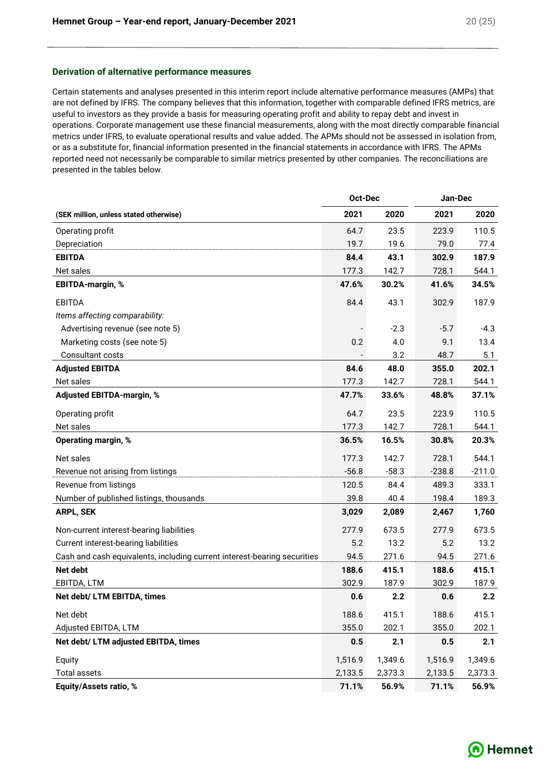#### **Derivation of alternative performance measures**

Certain statements and analyses presented in this interim report include alternative performance measures (AMPs) that are not defined by IFRS. The company believes that this information, together with comparable defined IFRS metrics, are useful to investors as they provide a basis for measuring operating profit and ability to repay debt and invest in operations. Corporate management use these financial measurements, along with the most directly comparable financial metrics under IFRS, to evaluate operational results and value added. The APMs should not be assessed in isolation from, or as a substitute for, financial information presented in the financial statements in accordance with IFRS. The APMs reported need not necessarily be comparable to similar metrics presented by other companies. The reconciliations are presented in the tables below.

|                                                                          | Oct-Dec |         | Jan-Dec  |          |  |
|--------------------------------------------------------------------------|---------|---------|----------|----------|--|
| (SEK million, unless stated otherwise)                                   | 2021    | 2020    | 2021     | 2020     |  |
| Operating profit                                                         | 64.7    | 23.5    | 223.9    | 110.5    |  |
| Depreciation                                                             | 19.7    | 19.6    | 79.0     | 77.4     |  |
| <b>EBITDA</b>                                                            | 84.4    | 43.1    | 302.9    | 187.9    |  |
| Net sales                                                                | 177.3   | 142.7   | 728.1    | 544.1    |  |
| EBITDA-margin, %                                                         | 47.6%   | 30.2%   | 41.6%    | 34.5%    |  |
| <b>EBITDA</b>                                                            | 84.4    | 43.1    | 302.9    | 187.9    |  |
| Items affecting comparability:                                           |         |         |          |          |  |
| Advertising revenue (see note 5)                                         |         | $-2.3$  | $-5.7$   | $-4.3$   |  |
| Marketing costs (see note 5)                                             | 0.2     | 4.0     | 9.1      | 13.4     |  |
| Consultant costs                                                         |         | 3.2     | 48.7     | 5.1      |  |
| <b>Adjusted EBITDA</b>                                                   | 84.6    | 48.0    | 355.0    | 202.1    |  |
| Net sales                                                                | 177.3   | 142.7   | 728.1    | 544.1    |  |
| Adjusted EBITDA-margin, %                                                | 47.7%   | 33.6%   | 48.8%    | 37.1%    |  |
| Operating profit                                                         | 64.7    | 23.5    | 223.9    | 110.5    |  |
| Net sales                                                                | 177.3   | 142.7   | 728.1    | 544.1    |  |
| Operating margin, %                                                      | 36.5%   | 16.5%   | 30.8%    | 20.3%    |  |
| Net sales                                                                | 177.3   | 142.7   | 728.1    | 544.1    |  |
| Revenue not arising from listings                                        | $-56.8$ | $-58.3$ | $-238.8$ | $-211.0$ |  |
| Revenue from listings                                                    | 120.5   | 84.4    | 489.3    | 333.1    |  |
| Number of published listings, thousands                                  | 39.8    | 40.4    | 198.4    | 189.3    |  |
| ARPL, SEK                                                                | 3,029   | 2,089   | 2,467    | 1,760    |  |
| Non-current interest-bearing liabilities                                 | 277.9   | 673.5   | 277.9    | 673.5    |  |
| Current interest-bearing liabilities                                     | 5.2     | 13.2    | 5.2      | 13.2     |  |
| Cash and cash equivalents, including current interest-bearing securities | 94.5    | 271.6   | 94.5     | 271.6    |  |
| <b>Net debt</b>                                                          | 188.6   | 415.1   | 188.6    | 415.1    |  |
| EBITDA, LTM                                                              | 302.9   | 187.9   | 302.9    | 187.9    |  |
| Net debt/ LTM EBITDA, times                                              | 0.6     | 2.2     | 0.6      | 2.2      |  |
| Net debt                                                                 | 188.6   | 415.1   | 188.6    | 415.1    |  |
| Adjusted EBITDA, LTM                                                     | 355.0   | 202.1   | 355.0    | 202.1    |  |
| Net debt/ LTM adjusted EBITDA, times                                     | 0.5     | 2.1     | 0.5      | 2.1      |  |
| Equity                                                                   | 1,516.9 | 1,349.6 | 1,516.9  | 1,349.6  |  |
| <b>Total assets</b>                                                      | 2,133.5 | 2,373.3 | 2,133.5  | 2,373.3  |  |
| Equity/Assets ratio, %                                                   | 71.1%   | 56.9%   | 71.1%    | 56.9%    |  |

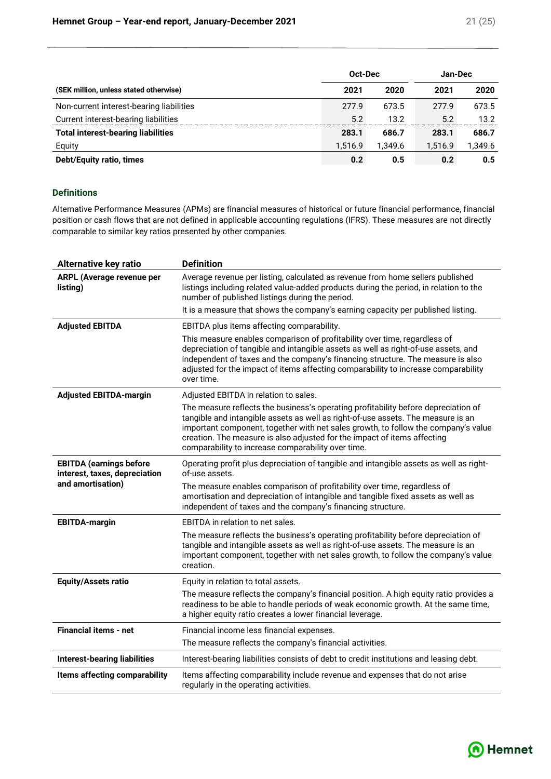|                                           | Oct-Dec | Jan-Dec |         |         |  |
|-------------------------------------------|---------|---------|---------|---------|--|
| (SEK million, unless stated otherwise)    | 2021    | 2020    | 2021    | 2020    |  |
| Non-current interest-bearing liabilities  | 277.9   | 673.5   | 277.9   | 673.5   |  |
| Current interest-bearing liabilities      | 5.2     | 13.2    | 5.2     | 13.2    |  |
| <b>Total interest-bearing liabilities</b> | 283.1   | 686.7   | 283.1   | 686.7   |  |
| Equity                                    | 1.516.9 | 1.349.6 | 1,516.9 | 1,349.6 |  |
| Debt/Equity ratio, times                  | 0.2     | 0.5     | 0.2     | 0.5     |  |

#### **Definitions**

Alternative Performance Measures (APMs) are financial measures of historical or future financial performance, financial position or cash flows that are not defined in applicable accounting regulations (IFRS). These measures are not directly comparable to similar key ratios presented by other companies.

| <b>Alternative key ratio</b>                                    | <b>Definition</b>                                                                                                                                                                                                                                                                                                                                                                              |
|-----------------------------------------------------------------|------------------------------------------------------------------------------------------------------------------------------------------------------------------------------------------------------------------------------------------------------------------------------------------------------------------------------------------------------------------------------------------------|
| <b>ARPL (Average revenue per</b><br>listing)                    | Average revenue per listing, calculated as revenue from home sellers published<br>listings including related value-added products during the period, in relation to the<br>number of published listings during the period.                                                                                                                                                                     |
|                                                                 | It is a measure that shows the company's earning capacity per published listing.                                                                                                                                                                                                                                                                                                               |
| <b>Adjusted EBITDA</b>                                          | EBITDA plus items affecting comparability.                                                                                                                                                                                                                                                                                                                                                     |
|                                                                 | This measure enables comparison of profitability over time, regardless of<br>depreciation of tangible and intangible assets as well as right-of-use assets, and<br>independent of taxes and the company's financing structure. The measure is also<br>adjusted for the impact of items affecting comparability to increase comparability<br>over time.                                         |
| <b>Adjusted EBITDA-margin</b>                                   | Adjusted EBITDA in relation to sales.                                                                                                                                                                                                                                                                                                                                                          |
|                                                                 | The measure reflects the business's operating profitability before depreciation of<br>tangible and intangible assets as well as right-of-use assets. The measure is an<br>important component, together with net sales growth, to follow the company's value<br>creation. The measure is also adjusted for the impact of items affecting<br>comparability to increase comparability over time. |
| <b>EBITDA (earnings before</b><br>interest, taxes, depreciation | Operating profit plus depreciation of tangible and intangible assets as well as right-<br>of-use assets.                                                                                                                                                                                                                                                                                       |
| and amortisation)                                               | The measure enables comparison of profitability over time, regardless of<br>amortisation and depreciation of intangible and tangible fixed assets as well as<br>independent of taxes and the company's financing structure.                                                                                                                                                                    |
| <b>EBITDA-margin</b>                                            | EBITDA in relation to net sales.                                                                                                                                                                                                                                                                                                                                                               |
|                                                                 | The measure reflects the business's operating profitability before depreciation of<br>tangible and intangible assets as well as right-of-use assets. The measure is an<br>important component, together with net sales growth, to follow the company's value<br>creation.                                                                                                                      |
| <b>Equity/Assets ratio</b>                                      | Equity in relation to total assets.                                                                                                                                                                                                                                                                                                                                                            |
|                                                                 | The measure reflects the company's financial position. A high equity ratio provides a<br>readiness to be able to handle periods of weak economic growth. At the same time,<br>a higher equity ratio creates a lower financial leverage.                                                                                                                                                        |
| Financial items - net                                           | Financial income less financial expenses.                                                                                                                                                                                                                                                                                                                                                      |
|                                                                 | The measure reflects the company's financial activities.                                                                                                                                                                                                                                                                                                                                       |
| <b>Interest-bearing liabilities</b>                             | Interest-bearing liabilities consists of debt to credit institutions and leasing debt.                                                                                                                                                                                                                                                                                                         |
| Items affecting comparability                                   | Items affecting comparability include revenue and expenses that do not arise<br>regularly in the operating activities.                                                                                                                                                                                                                                                                         |

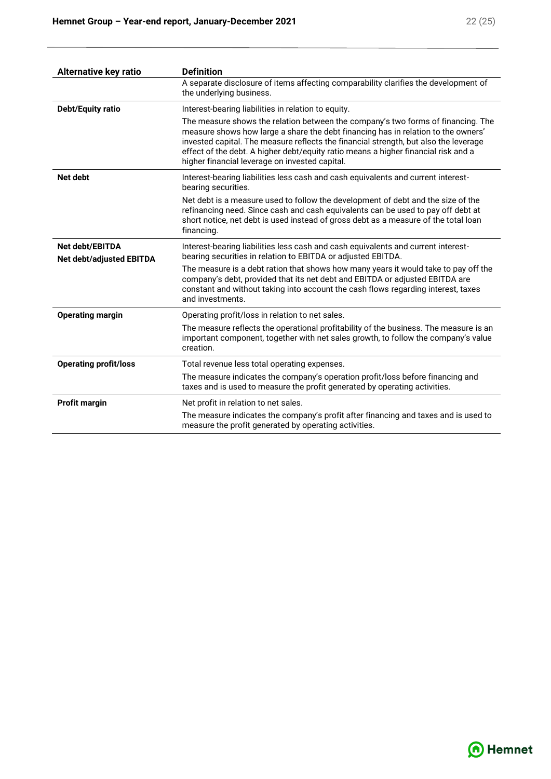| <b>Alternative key ratio</b>                       | <b>Definition</b>                                                                                                                                                                                                                                                                                                                                                                                     |
|----------------------------------------------------|-------------------------------------------------------------------------------------------------------------------------------------------------------------------------------------------------------------------------------------------------------------------------------------------------------------------------------------------------------------------------------------------------------|
|                                                    | A separate disclosure of items affecting comparability clarifies the development of<br>the underlying business.                                                                                                                                                                                                                                                                                       |
| <b>Debt/Equity ratio</b>                           | Interest-bearing liabilities in relation to equity.                                                                                                                                                                                                                                                                                                                                                   |
|                                                    | The measure shows the relation between the company's two forms of financing. The<br>measure shows how large a share the debt financing has in relation to the owners'<br>invested capital. The measure reflects the financial strength, but also the leverage<br>effect of the debt. A higher debt/equity ratio means a higher financial risk and a<br>higher financial leverage on invested capital. |
| Net debt                                           | Interest-bearing liabilities less cash and cash equivalents and current interest-<br>bearing securities.                                                                                                                                                                                                                                                                                              |
|                                                    | Net debt is a measure used to follow the development of debt and the size of the<br>refinancing need. Since cash and cash equivalents can be used to pay off debt at<br>short notice, net debt is used instead of gross debt as a measure of the total loan<br>financing.                                                                                                                             |
| Net debt/EBITDA<br><b>Net debt/adjusted EBITDA</b> | Interest-bearing liabilities less cash and cash equivalents and current interest-<br>bearing securities in relation to EBITDA or adjusted EBITDA.                                                                                                                                                                                                                                                     |
|                                                    | The measure is a debt ration that shows how many years it would take to pay off the<br>company's debt, provided that its net debt and EBITDA or adjusted EBITDA are<br>constant and without taking into account the cash flows regarding interest, taxes<br>and investments.                                                                                                                          |
| <b>Operating margin</b>                            | Operating profit/loss in relation to net sales.                                                                                                                                                                                                                                                                                                                                                       |
|                                                    | The measure reflects the operational profitability of the business. The measure is an<br>important component, together with net sales growth, to follow the company's value<br>creation.                                                                                                                                                                                                              |
| <b>Operating profit/loss</b>                       | Total revenue less total operating expenses.                                                                                                                                                                                                                                                                                                                                                          |
|                                                    | The measure indicates the company's operation profit/loss before financing and<br>taxes and is used to measure the profit generated by operating activities.                                                                                                                                                                                                                                          |
| <b>Profit margin</b>                               | Net profit in relation to net sales.                                                                                                                                                                                                                                                                                                                                                                  |
|                                                    | The measure indicates the company's profit after financing and taxes and is used to<br>measure the profit generated by operating activities.                                                                                                                                                                                                                                                          |

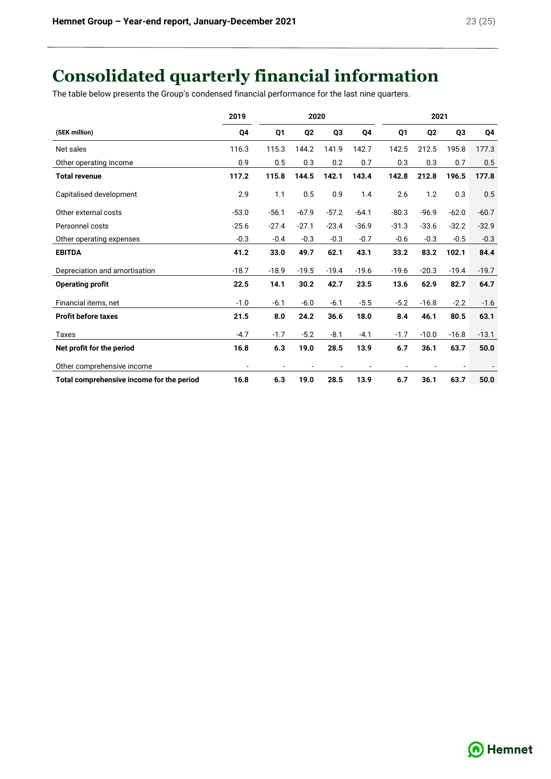# **Consolidated quarterly financial information**

The table below presents the Group's condensed financial performance for the last nine quarters.

|                                           | 2019    |         | 2020           |                |         |         | 2021           |         |         |
|-------------------------------------------|---------|---------|----------------|----------------|---------|---------|----------------|---------|---------|
| (SEK million)                             | Q4      | Q1      | Q <sub>2</sub> | Q <sub>3</sub> | Q4      | Q1      | Q <sub>2</sub> | Q3      | Q4      |
| Net sales                                 | 116.3   | 115.3   | 144.2          | 141.9          | 142.7   | 142.5   | 212.5          | 195.8   | 177.3   |
| Other operating income                    | 0.9     | 0.5     | 0.3            | 0.2            | 0.7     | 0.3     | 0.3            | 0.7     | 0.5     |
| <b>Total revenue</b>                      | 117.2   | 115.8   | 144.5          | 142.1          | 143.4   | 142.8   | 212.8          | 196.5   | 177.8   |
| Capitalised development                   | 2.9     | 1.1     | 0.5            | 0.9            | 1.4     | 2.6     | 1.2            | 0.3     | 0.5     |
| Other external costs                      | $-53.0$ | $-56.1$ | $-67.9$        | $-57.2$        | $-64.1$ | $-80.3$ | $-96.9$        | $-62.0$ | $-60.7$ |
| Personnel costs                           | $-25.6$ | $-27.4$ | $-27.1$        | $-23.4$        | $-36.9$ | $-31.3$ | $-33.6$        | $-32.2$ | $-32.9$ |
| Other operating expenses                  | $-0.3$  | $-0.4$  | $-0.3$         | $-0.3$         | $-0.7$  | $-0.6$  | $-0.3$         | $-0.5$  | $-0.3$  |
| <b>EBITDA</b>                             | 41.2    | 33.0    | 49.7           | 62.1           | 43.1    | 33.2    | 83.2           | 102.1   | 84.4    |
| Depreciation and amortisation             | $-18.7$ | $-18.9$ | $-19.5$        | $-19.4$        | $-19.6$ | $-19.6$ | $-20.3$        | $-19.4$ | $-19.7$ |
| <b>Operating profit</b>                   | 22.5    | 14.1    | 30.2           | 42.7           | 23.5    | 13.6    | 62.9           | 82.7    | 64.7    |
| Financial items, net                      | $-1.0$  | $-6.1$  | $-6.0$         | $-6.1$         | $-5.5$  | $-5.2$  | $-16.8$        | $-2.2$  | $-1.6$  |
| <b>Profit before taxes</b>                | 21.5    | 8.0     | 24.2           | 36.6           | 18.0    | 8.4     | 46.1           | 80.5    | 63.1    |
| Taxes                                     | $-4.7$  | $-1.7$  | $-5.2$         | $-8.1$         | $-4.1$  | $-1.7$  | $-10.0$        | $-16.8$ | $-13.1$ |
| Net profit for the period                 | 16.8    | 6.3     | 19.0           | 28.5           | 13.9    | 6.7     | 36.1           | 63.7    | 50.0    |
| Other comprehensive income                |         |         |                |                |         |         |                |         |         |
| Total comprehensive income for the period | 16.8    | 6.3     | 19.0           | 28.5           | 13.9    | 6.7     | 36.1           | 63.7    | 50.0    |

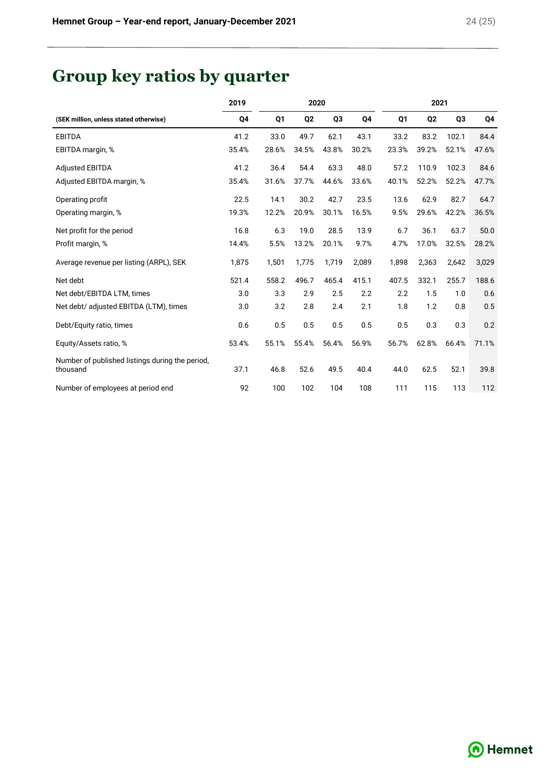# **Group key ratios by quarter**

|                                                             | 2019<br>2020 |       |                |                |       |       |                | 2021           |       |  |
|-------------------------------------------------------------|--------------|-------|----------------|----------------|-------|-------|----------------|----------------|-------|--|
| (SEK million, unless stated otherwise)                      | Q4           | Q1    | Q <sub>2</sub> | Q <sub>3</sub> | Q4    | Q1    | Q <sub>2</sub> | Q <sub>3</sub> | Q4    |  |
| <b>EBITDA</b>                                               | 41.2         | 33.0  | 49.7           | 62.1           | 43.1  | 33.2  | 83.2           | 102.1          | 84.4  |  |
| EBITDA margin, %                                            | 35.4%        | 28.6% | 34.5%          | 43.8%          | 30.2% | 23.3% | 39.2%          | 52.1%          | 47.6% |  |
| <b>Adjusted EBITDA</b>                                      | 41.2         | 36.4  | 54.4           | 63.3           | 48.0  | 57.2  | 110.9          | 102.3          | 84.6  |  |
| Adjusted EBITDA margin, %                                   | 35.4%        | 31.6% | 37.7%          | 44.6%          | 33.6% | 40.1% | 52.2%          | 52.2%          | 47.7% |  |
| Operating profit                                            | 22.5         | 14.1  | 30.2           | 42.7           | 23.5  | 13.6  | 62.9           | 82.7           | 64.7  |  |
| Operating margin, %                                         | 19.3%        | 12.2% | 20.9%          | 30.1%          | 16.5% | 9.5%  | 29.6%          | 42.2%          | 36.5% |  |
| Net profit for the period                                   | 16.8         | 6.3   | 19.0           | 28.5           | 13.9  | 6.7   | 36.1           | 63.7           | 50.0  |  |
| Profit margin, %                                            | 14.4%        | 5.5%  | 13.2%          | 20.1%          | 9.7%  | 4.7%  | 17.0%          | 32.5%          | 28.2% |  |
| Average revenue per listing (ARPL), SEK                     | 1,875        | 1,501 | 1,775          | 1,719          | 2,089 | 1,898 | 2,363          | 2,642          | 3,029 |  |
| Net debt                                                    | 521.4        | 558.2 | 496.7          | 465.4          | 415.1 | 407.5 | 332.1          | 255.7          | 188.6 |  |
| Net debt/EBITDA LTM, times                                  | 3.0          | 3.3   | 2.9            | 2.5            | 2.2   | 2.2   | 1.5            | 1.0            | 0.6   |  |
| Net debt/ adjusted EBITDA (LTM), times                      | 3.0          | 3.2   | 2.8            | 2.4            | 2.1   | 1.8   | 1.2            | 0.8            | 0.5   |  |
| Debt/Equity ratio, times                                    | 0.6          | 0.5   | 0.5            | 0.5            | 0.5   | 0.5   | 0.3            | 0.3            | 0.2   |  |
| Equity/Assets ratio, %                                      | 53.4%        | 55.1% | 55.4%          | 56.4%          | 56.9% | 56.7% | 62.8%          | 66.4%          | 71.1% |  |
| Number of published listings during the period.<br>thousand | 37.1         | 46.8  | 52.6           | 49.5           | 40.4  | 44.0  | 62.5           | 52.1           | 39.8  |  |
| Number of employees at period end                           | 92           | 100   | 102            | 104            | 108   | 111   | 115            | 113            | 112   |  |